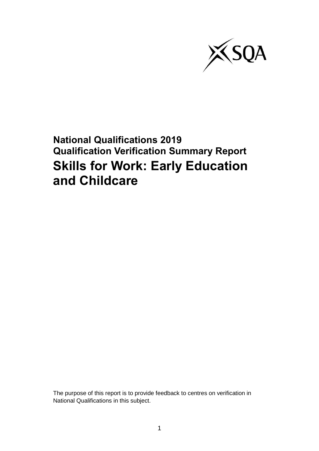

## **National Qualifications 2019 Qualification Verification Summary Report Skills for Work: Early Education and Childcare**

The purpose of this report is to provide feedback to centres on verification in National Qualifications in this subject.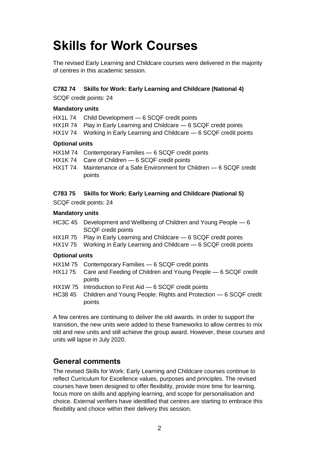# **Skills for Work Courses**

The revised Early Learning and Childcare courses were delivered in the majority of centres in this academic session.

#### **C782 74 Skills for Work: Early Learning and Childcare (National 4)**

SCQF credit points: 24

#### **Mandatory units**

- HX1L 74 Child Development 6 SCQF credit points
- HX1R 74 Play in Early Learning and Childcare 6 SCQF credit points
- HX1V 74 Working in Early Learning and Childcare 6 SCQF credit points

#### **Optional units**

- HX1M 74 Contemporary Families 6 SCQF credit points
- HX1K 74 Care of Children 6 SCQF credit points
- HX1T 74 Maintenance of a Safe Environment for Children 6 SCQF credit points

#### **C783 75 Skills for Work: Early Learning and Childcare (National 5)**

SCQF credit points: 24

#### **Mandatory units**

- HC3C 45 Development and Wellbeing of Children and Young People 6 SCQF credit points
- HX1R 75 Play in Early Learning and Childcare 6 SCQF credit points
- HX1V 75 Working in Early Learning and Childcare 6 SCQF credit points

#### **Optional units**

- HX1M 75 Contemporary Families 6 SCQF credit points
- HX1J 75 Care and Feeding of Children and Young People 6 SCQF credit points
- HX1W 75 Introduction to First Aid 6 SCQF credit points
- HC38 45 Children and Young People: Rights and Protection 6 SCQF credit points

A few centres are continuing to deliver the old awards. In order to support the transition, the new units were added to these frameworks to allow centres to mix old and new units and still achieve the group award. However, these courses and units will lapse in July 2020.

## **General comments**

The revised Skills for Work: Early Learning and Childcare courses continue to reflect Curriculum for Excellence values, purposes and principles. The revised courses have been designed to offer flexibility, provide more time for learning, focus more on skills and applying learning, and scope for personalisation and choice. External verifiers have identified that centres are starting to embrace this flexibility and choice within their delivery this session.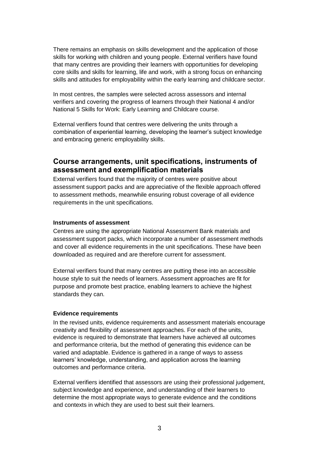There remains an emphasis on skills development and the application of those skills for working with children and young people. External verifiers have found that many centres are providing their learners with opportunities for developing core skills and skills for learning, life and work, with a strong focus on enhancing skills and attitudes for employability within the early learning and childcare sector.

In most centres, the samples were selected across assessors and internal verifiers and covering the progress of learners through their National 4 and/or National 5 Skills for Work: Early Learning and Childcare course.

External verifiers found that centres were delivering the units through a combination of experiential learning, developing the learner's subject knowledge and embracing generic employability skills.

## **Course arrangements, unit specifications, instruments of assessment and exemplification materials**

External verifiers found that the majority of centres were positive about assessment support packs and are appreciative of the flexible approach offered to assessment methods, meanwhile ensuring robust coverage of all evidence requirements in the unit specifications.

#### **Instruments of assessment**

Centres are using the appropriate National Assessment Bank materials and assessment support packs, which incorporate a number of assessment methods and cover all evidence requirements in the unit specifications. These have been downloaded as required and are therefore current for assessment.

External verifiers found that many centres are putting these into an accessible house style to suit the needs of learners. Assessment approaches are fit for purpose and promote best practice, enabling learners to achieve the highest standards they can.

#### **Evidence requirements**

In the revised units, evidence requirements and assessment materials encourage creativity and flexibility of assessment approaches. For each of the units, evidence is required to demonstrate that learners have achieved all outcomes and performance criteria, but the method of generating this evidence can be varied and adaptable. Evidence is gathered in a range of ways to assess learners' knowledge, understanding, and application across the learning outcomes and performance criteria.

External verifiers identified that assessors are using their professional judgement, subject knowledge and experience, and understanding of their learners to determine the most appropriate ways to generate evidence and the conditions and contexts in which they are used to best suit their learners.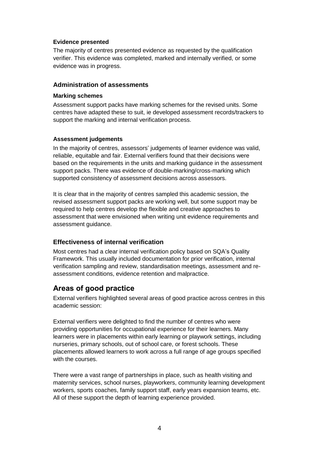#### **Evidence presented**

The majority of centres presented evidence as requested by the qualification verifier. This evidence was completed, marked and internally verified, or some evidence was in progress.

#### **Administration of assessments**

#### **Marking schemes**

Assessment support packs have marking schemes for the revised units. Some centres have adapted these to suit, ie developed assessment records/trackers to support the marking and internal verification process.

#### **Assessment judgements**

In the majority of centres, assessors' judgements of learner evidence was valid, reliable, equitable and fair. External verifiers found that their decisions were based on the requirements in the units and marking guidance in the assessment support packs. There was evidence of double-marking/cross-marking which supported consistency of assessment decisions across assessors.

It is clear that in the majority of centres sampled this academic session, the revised assessment support packs are working well, but some support may be required to help centres develop the flexible and creative approaches to assessment that were envisioned when writing unit evidence requirements and assessment guidance.

### **Effectiveness of internal verification**

Most centres had a clear internal verification policy based on SQA's Quality Framework. This usually included documentation for prior verification, internal verification sampling and review, standardisation meetings, assessment and reassessment conditions, evidence retention and malpractice.

## **Areas of good practice**

External verifiers highlighted several areas of good practice across centres in this academic session:

External verifiers were delighted to find the number of centres who were providing opportunities for occupational experience for their learners. Many learners were in placements within early learning or playwork settings, including nurseries, primary schools, out of school care, or forest schools. These placements allowed learners to work across a full range of age groups specified with the courses.

There were a vast range of partnerships in place, such as health visiting and maternity services, school nurses, playworkers, community learning development workers, sports coaches, family support staff, early years expansion teams, etc. All of these support the depth of learning experience provided.